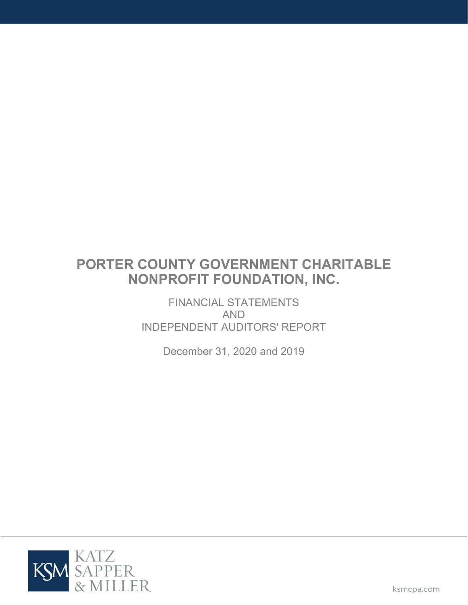FINANCIAL STATEMENTS AND INDEPENDENT AUDITORS' REPORT

December 31, 2020 and 2019

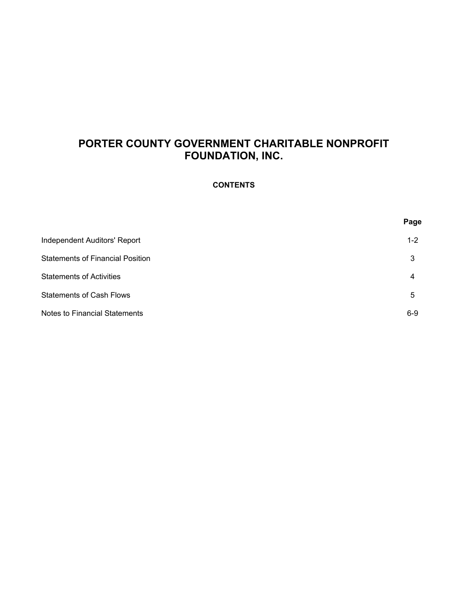# **CONTENTS**

|                                         | Page    |
|-----------------------------------------|---------|
| Independent Auditors' Report            | $1 - 2$ |
| <b>Statements of Financial Position</b> | 3       |
| <b>Statements of Activities</b>         | 4       |
| <b>Statements of Cash Flows</b>         | 5       |
| <b>Notes to Financial Statements</b>    | $6-9$   |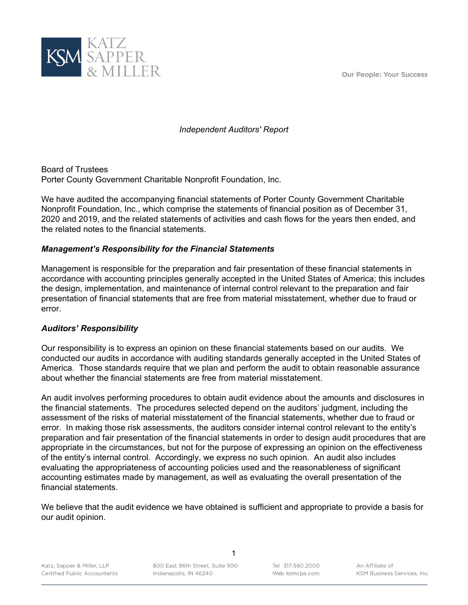**Our People: Your Success** 



*Independent Auditors' Report*

Board of Trustees Porter County Government Charitable Nonprofit Foundation, Inc.

We have audited the accompanying financial statements of Porter County Government Charitable Nonprofit Foundation, Inc., which comprise the statements of financial position as of December 31, 2020 and 2019, and the related statements of activities and cash flows for the years then ended, and the related notes to the financial statements.

# *Management's Responsibility for the Financial Statements*

Management is responsible for the preparation and fair presentation of these financial statements in accordance with accounting principles generally accepted in the United States of America; this includes the design, implementation, and maintenance of internal control relevant to the preparation and fair presentation of financial statements that are free from material misstatement, whether due to fraud or error.

## *Auditors' Responsibility*

Our responsibility is to express an opinion on these financial statements based on our audits. We conducted our audits in accordance with auditing standards generally accepted in the United States of America. Those standards require that we plan and perform the audit to obtain reasonable assurance about whether the financial statements are free from material misstatement.

An audit involves performing procedures to obtain audit evidence about the amounts and disclosures in the financial statements. The procedures selected depend on the auditors' judgment, including the assessment of the risks of material misstatement of the financial statements, whether due to fraud or error. In making those risk assessments, the auditors consider internal control relevant to the entity's preparation and fair presentation of the financial statements in order to design audit procedures that are appropriate in the circumstances, but not for the purpose of expressing an opinion on the effectiveness of the entity's internal control. Accordingly, we express no such opinion. An audit also includes evaluating the appropriateness of accounting policies used and the reasonableness of significant accounting estimates made by management, as well as evaluating the overall presentation of the financial statements.

We believe that the audit evidence we have obtained is sufficient and appropriate to provide a basis for our audit opinion.

1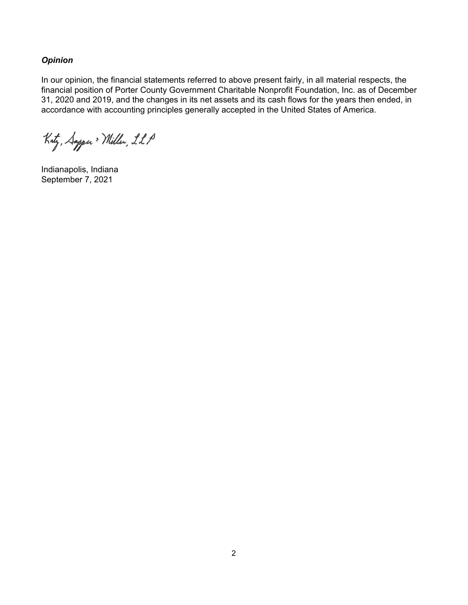*Opinion* 

In our opinion, the financial statements referred to above present fairly, in all material respects, the financial position of Porter County Government Charitable Nonprofit Foundation, Inc. as of December 31, 2020 and 2019, and the changes in its net assets and its cash flows for the years then ended, in accordance with accounting principles generally accepted in the United States of America.

Katz, Sapper > Miller, LLP

Indianapolis, Indiana September 7, 2021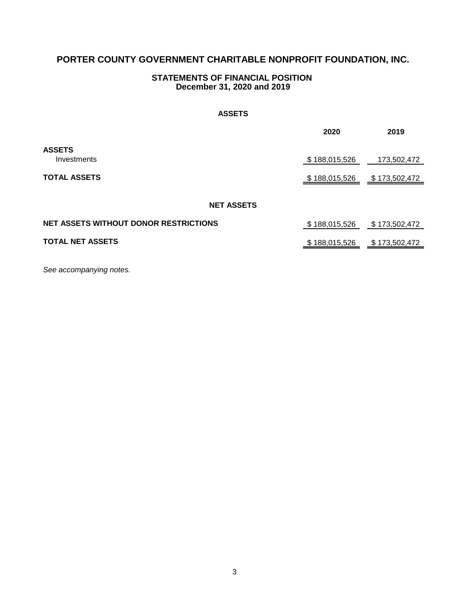## **December 31, 2020 and 2019 STATEMENTS OF FINANCIAL POSITION**

#### **ASSETS**

|                                              | 2020          | 2019           |
|----------------------------------------------|---------------|----------------|
| <b>ASSETS</b><br>Investments                 | \$188,015,526 | 173,502,472    |
| <b>TOTAL ASSETS</b>                          | \$188,015,526 | \$173,502,472  |
| <b>NET ASSETS</b>                            |               |                |
| <b>NET ASSETS WITHOUT DONOR RESTRICTIONS</b> | \$188,015,526 | \$ 173,502,472 |
| <b>TOTAL NET ASSETS</b>                      | \$188,015,526 | \$173,502,472  |

*See accompanying notes.*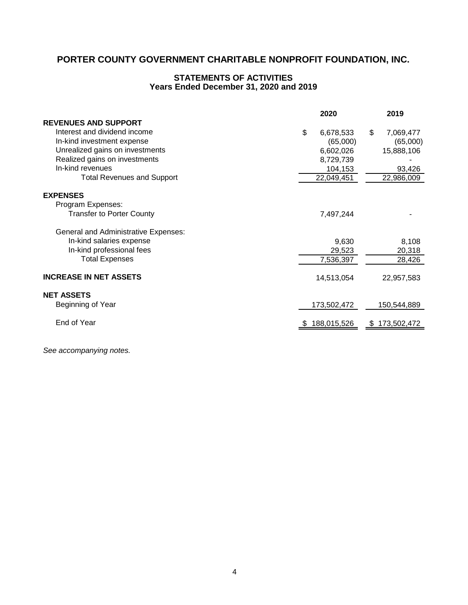# **STATEMENTS OF ACTIVITIES Years Ended December 31, 2020 and 2019**

|                                             | 2020            | 2019            |
|---------------------------------------------|-----------------|-----------------|
| <b>REVENUES AND SUPPORT</b>                 |                 |                 |
| Interest and dividend income                | \$<br>6,678,533 | \$<br>7,069,477 |
| In-kind investment expense                  | (65,000)        | (65,000)        |
| Unrealized gains on investments             | 6,602,026       | 15,888,106      |
| Realized gains on investments               | 8,729,739       |                 |
| In-kind revenues                            | 104,153         | 93,426          |
| <b>Total Revenues and Support</b>           | 22,049,451      | 22,986,009      |
|                                             |                 |                 |
| <b>EXPENSES</b>                             |                 |                 |
| Program Expenses:                           |                 |                 |
| <b>Transfer to Porter County</b>            | 7,497,244       |                 |
|                                             |                 |                 |
| <b>General and Administrative Expenses:</b> |                 |                 |
| In-kind salaries expense                    | 9,630           | 8,108           |
| In-kind professional fees                   | 29,523          | 20,318          |
| <b>Total Expenses</b>                       | 7,536,397       | 28,426          |
|                                             |                 |                 |
| <b>INCREASE IN NET ASSETS</b>               | 14,513,054      | 22,957,583      |
|                                             |                 |                 |
| <b>NET ASSETS</b>                           |                 |                 |
| Beginning of Year                           | 173,502,472     | 150,544,889     |
|                                             |                 |                 |
| End of Year                                 | 188,015,526     | \$173,502,472   |
|                                             |                 |                 |

*See accompanying notes.*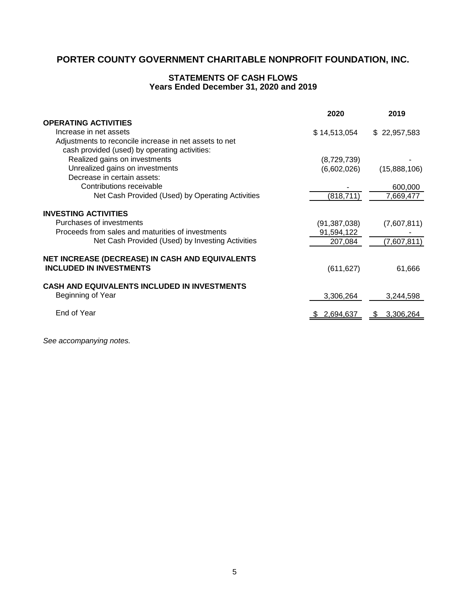# **STATEMENTS OF CASH FLOWS Years Ended December 31, 2020 and 2019**

|                                                        | 2020           | 2019              |
|--------------------------------------------------------|----------------|-------------------|
| <b>OPERATING ACTIVITIES</b>                            |                |                   |
| Increase in net assets                                 | \$14,513,054   | \$22,957,583      |
| Adjustments to reconcile increase in net assets to net |                |                   |
| cash provided (used) by operating activities:          |                |                   |
| Realized gains on investments                          | (8,729,739)    |                   |
| Unrealized gains on investments                        | (6,602,026)    | (15,888,106)      |
| Decrease in certain assets:                            |                |                   |
| Contributions receivable                               |                | 600,000           |
| Net Cash Provided (Used) by Operating Activities       | (818, 711)     | 7,669,477         |
| <b>INVESTING ACTIVITIES</b>                            |                |                   |
| Purchases of investments                               | (91, 387, 038) | (7,607,811)       |
| Proceeds from sales and maturities of investments      | 91,594,122     |                   |
| Net Cash Provided (Used) by Investing Activities       | 207,084        | (7,607,811)       |
| NET INCREASE (DECREASE) IN CASH AND EQUIVALENTS        |                |                   |
| <b>INCLUDED IN INVESTMENTS</b>                         | (611, 627)     | 61,666            |
| <b>CASH AND EQUIVALENTS INCLUDED IN INVESTMENTS</b>    |                |                   |
| Beginning of Year                                      | 3,306,264      | 3,244,598         |
| End of Year                                            | 2,694,637      | 3,306,264<br>- 92 |
|                                                        |                |                   |

*See accompanying notes.*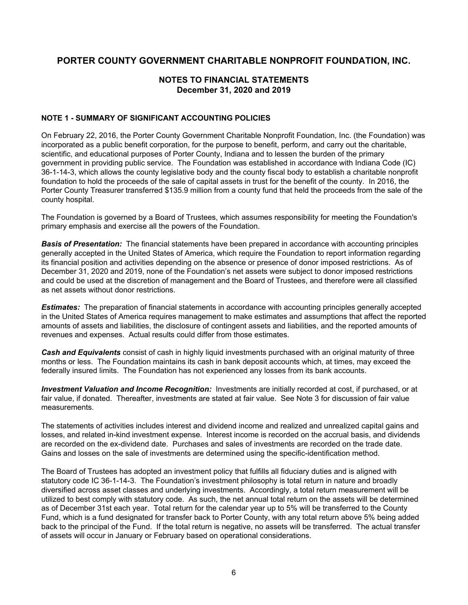## **NOTES TO FINANCIAL STATEMENTS December 31, 2020 and 2019**

#### **NOTE 1 - SUMMARY OF SIGNIFICANT ACCOUNTING POLICIES**

On February 22, 2016, the Porter County Government Charitable Nonprofit Foundation, Inc. (the Foundation) was incorporated as a public benefit corporation, for the purpose to benefit, perform, and carry out the charitable, scientific, and educational purposes of Porter County, Indiana and to lessen the burden of the primary government in providing public service. The Foundation was established in accordance with Indiana Code (IC) 36-1-14-3, which allows the county legislative body and the county fiscal body to establish a charitable nonprofit foundation to hold the proceeds of the sale of capital assets in trust for the benefit of the county. In 2016, the Porter County Treasurer transferred \$135.9 million from a county fund that held the proceeds from the sale of the county hospital.

The Foundation is governed by a Board of Trustees, which assumes responsibility for meeting the Foundation's primary emphasis and exercise all the powers of the Foundation.

*Basis of Presentation:* The financial statements have been prepared in accordance with accounting principles generally accepted in the United States of America, which require the Foundation to report information regarding its financial position and activities depending on the absence or presence of donor imposed restrictions. As of December 31, 2020 and 2019, none of the Foundation's net assets were subject to donor imposed restrictions and could be used at the discretion of management and the Board of Trustees, and therefore were all classified as net assets without donor restrictions.

*Estimates:* The preparation of financial statements in accordance with accounting principles generally accepted in the United States of America requires management to make estimates and assumptions that affect the reported amounts of assets and liabilities, the disclosure of contingent assets and liabilities, and the reported amounts of revenues and expenses. Actual results could differ from those estimates.

*Cash and Equivalents* consist of cash in highly liquid investments purchased with an original maturity of three months or less. The Foundation maintains its cash in bank deposit accounts which, at times, may exceed the federally insured limits. The Foundation has not experienced any losses from its bank accounts.

*Investment Valuation and Income Recognition:* Investments are initially recorded at cost, if purchased, or at fair value, if donated. Thereafter, investments are stated at fair value. See Note 3 for discussion of fair value measurements.

The statements of activities includes interest and dividend income and realized and unrealized capital gains and losses, and related in-kind investment expense. Interest income is recorded on the accrual basis, and dividends are recorded on the ex-dividend date. Purchases and sales of investments are recorded on the trade date. Gains and losses on the sale of investments are determined using the specific-identification method.

The Board of Trustees has adopted an investment policy that fulfills all fiduciary duties and is aligned with statutory code IC 36-1-14-3. The Foundation's investment philosophy is total return in nature and broadly diversified across asset classes and underlying investments. Accordingly, a total return measurement will be utilized to best comply with statutory code. As such, the net annual total return on the assets will be determined as of December 31st each year. Total return for the calendar year up to 5% will be transferred to the County Fund, which is a fund designated for transfer back to Porter County, with any total return above 5% being added back to the principal of the Fund. If the total return is negative, no assets will be transferred. The actual transfer of assets will occur in January or February based on operational considerations.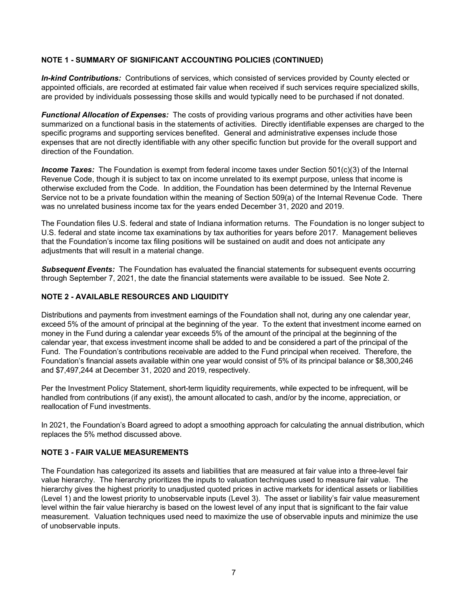### **NOTE 1 - SUMMARY OF SIGNIFICANT ACCOUNTING POLICIES (CONTINUED)**

*In-kind Contributions:* Contributions of services, which consisted of services provided by County elected or appointed officials, are recorded at estimated fair value when received if such services require specialized skills, are provided by individuals possessing those skills and would typically need to be purchased if not donated.

*Functional Allocation of Expenses:* The costs of providing various programs and other activities have been summarized on a functional basis in the statements of activities. Directly identifiable expenses are charged to the specific programs and supporting services benefited. General and administrative expenses include those expenses that are not directly identifiable with any other specific function but provide for the overall support and direction of the Foundation.

*Income Taxes:* The Foundation is exempt from federal income taxes under Section 501(c)(3) of the Internal Revenue Code, though it is subject to tax on income unrelated to its exempt purpose, unless that income is otherwise excluded from the Code. In addition, the Foundation has been determined by the Internal Revenue Service not to be a private foundation within the meaning of Section 509(a) of the Internal Revenue Code. There was no unrelated business income tax for the years ended December 31, 2020 and 2019.

The Foundation files U.S. federal and state of Indiana information returns. The Foundation is no longer subject to U.S. federal and state income tax examinations by tax authorities for years before 2017. Management believes that the Foundation's income tax filing positions will be sustained on audit and does not anticipate any adjustments that will result in a material change.

*Subsequent Events:* The Foundation has evaluated the financial statements for subsequent events occurring through September 7, 2021, the date the financial statements were available to be issued. See Note 2.

#### **NOTE 2 - AVAILABLE RESOURCES AND LIQUIDITY**

Distributions and payments from investment earnings of the Foundation shall not, during any one calendar year, exceed 5% of the amount of principal at the beginning of the year. To the extent that investment income earned on money in the Fund during a calendar year exceeds 5% of the amount of the principal at the beginning of the calendar year, that excess investment income shall be added to and be considered a part of the principal of the Fund. The Foundation's contributions receivable are added to the Fund principal when received. Therefore, the Foundation's financial assets available within one year would consist of 5% of its principal balance or \$8,300,246 and \$7,497,244 at December 31, 2020 and 2019, respectively.

Per the Investment Policy Statement, short-term liquidity requirements, while expected to be infrequent, will be handled from contributions (if any exist), the amount allocated to cash, and/or by the income, appreciation, or reallocation of Fund investments.

In 2021, the Foundation's Board agreed to adopt a smoothing approach for calculating the annual distribution, which replaces the 5% method discussed above.

#### **NOTE 3 - FAIR VALUE MEASUREMENTS**

The Foundation has categorized its assets and liabilities that are measured at fair value into a three-level fair value hierarchy. The hierarchy prioritizes the inputs to valuation techniques used to measure fair value. The hierarchy gives the highest priority to unadjusted quoted prices in active markets for identical assets or liabilities (Level 1) and the lowest priority to unobservable inputs (Level 3). The asset or liability's fair value measurement level within the fair value hierarchy is based on the lowest level of any input that is significant to the fair value measurement. Valuation techniques used need to maximize the use of observable inputs and minimize the use of unobservable inputs.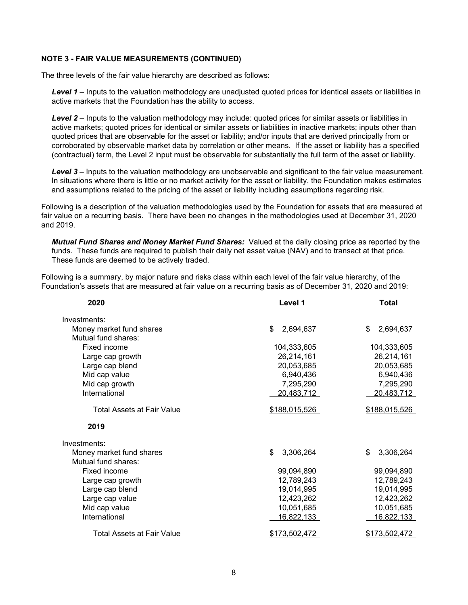#### **NOTE 3 - FAIR VALUE MEASUREMENTS (CONTINUED)**

The three levels of the fair value hierarchy are described as follows:

*Level 1* – Inputs to the valuation methodology are unadjusted quoted prices for identical assets or liabilities in active markets that the Foundation has the ability to access.

*Level 2* – Inputs to the valuation methodology may include: quoted prices for similar assets or liabilities in active markets; quoted prices for identical or similar assets or liabilities in inactive markets; inputs other than quoted prices that are observable for the asset or liability; and/or inputs that are derived principally from or corroborated by observable market data by correlation or other means. If the asset or liability has a specified (contractual) term, the Level 2 input must be observable for substantially the full term of the asset or liability.

*Level 3* – Inputs to the valuation methodology are unobservable and significant to the fair value measurement. In situations where there is little or no market activity for the asset or liability, the Foundation makes estimates and assumptions related to the pricing of the asset or liability including assumptions regarding risk.

Following is a description of the valuation methodologies used by the Foundation for assets that are measured at fair value on a recurring basis. There have been no changes in the methodologies used at December 31, 2020 and 2019.

*Mutual Fund Shares and Money Market Fund Shares:* Valued at the daily closing price as reported by the funds. These funds are required to publish their daily net asset value (NAV) and to transact at that price. These funds are deemed to be actively traded.

Following is a summary, by major nature and risks class within each level of the fair value hierarchy, of the Foundation's assets that are measured at fair value on a recurring basis as of December 31, 2020 and 2019:

| 2020                              | Level 1           | <b>Total</b>      |  |
|-----------------------------------|-------------------|-------------------|--|
| Investments:                      |                   |                   |  |
| Money market fund shares          | \$<br>2,694,637   | 2,694,637<br>\$   |  |
| Mutual fund shares:               |                   |                   |  |
| Fixed income                      | 104,333,605       | 104,333,605       |  |
| Large cap growth                  | 26,214,161        | 26,214,161        |  |
| Large cap blend                   | 20,053,685        | 20,053,685        |  |
| Mid cap value                     | 6,940,436         | 6,940,436         |  |
| Mid cap growth                    | 7,295,290         | 7,295,290         |  |
| International                     | 20,483,712        | 20,483,712        |  |
| <b>Total Assets at Fair Value</b> | \$188,015,526     | \$188,015,526     |  |
| 2019                              |                   |                   |  |
| Investments:                      |                   |                   |  |
| Money market fund shares          | \$<br>3,306,264   | 3,306,264<br>\$   |  |
| Mutual fund shares:               |                   |                   |  |
| Fixed income                      | 99,094,890        | 99,094,890        |  |
| Large cap growth                  | 12,789,243        | 12,789,243        |  |
| Large cap blend                   | 19,014,995        | 19,014,995        |  |
| Large cap value                   | 12,423,262        | 12,423,262        |  |
| Mid cap value                     | 10,051,685        | 10,051,685        |  |
| International                     | <u>16,822,133</u> | <u>16,822,133</u> |  |
| Total Assets at Fair Value        | \$173,502,472     | \$173,502,472     |  |